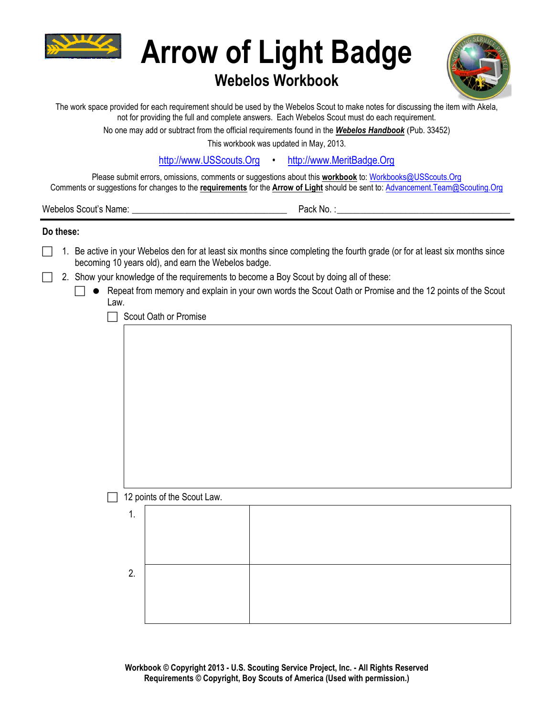

# **Arrow of Light Badge**

# **Webelos Workbook**



The work space provided for each requirement should be used by the Webelos Scout to make notes for discussing the item with Akela, not for providing the full and complete answers. Each Webelos Scout must do each requirement.

No one may add or subtract from the official requirements found in the *Webelos Handbook* (Pub. 33452)

This workbook was updated in May, 2013.

[http://www.USScouts.Org](http://www.usscouts.org/) • [http://www.MeritBadge.Org](http://www.meritbadge.org/)

Please submit errors, omissions, comments or suggestions about this **workbook** to: [Workbooks@USScouts.Org](mailto:Workbooks@usscouts.org?subject=Merit%20Badge%20Workbooks) Comments or suggestions for changes to the **requirements** for the **Arrow of Light** should be sent to: [Advancement.Team@Scouting.Org](mailto:Advancement.Team@Scouting.Org)

Webelos Scout's Name:  $\blacksquare$ 

## **Do these:**

- 1. Be active in your Webelos den for at least six months since completing the fourth grade (or for at least six months since becoming 10 years old), and earn the Webelos badge.
- 2. Show your knowledge of the requirements to become a Boy Scout by doing all of these:
	- $\Box$   $\bullet$  Repeat from memory and explain in your own words the Scout Oath or Promise and the 12 points of the Scout Law.

 $\Box$  Scout Oath or Promise

## $\Box$  12 points of the Scout Law.

| . .     |  |
|---------|--|
|         |  |
|         |  |
| ∩<br>z. |  |
|         |  |
|         |  |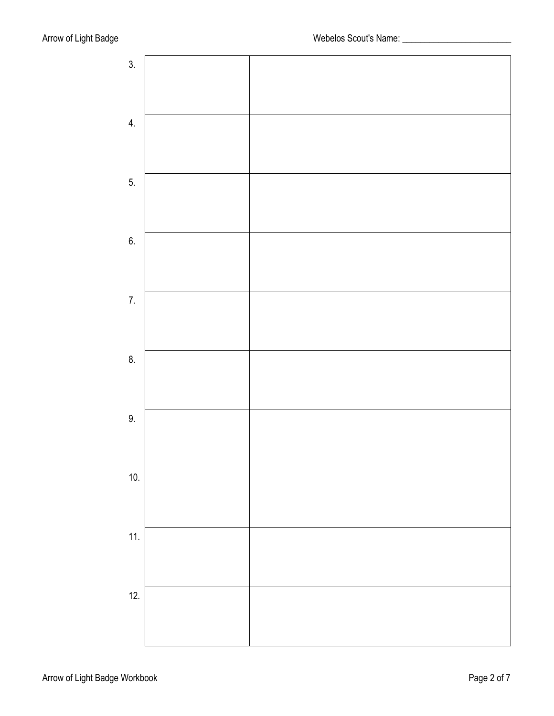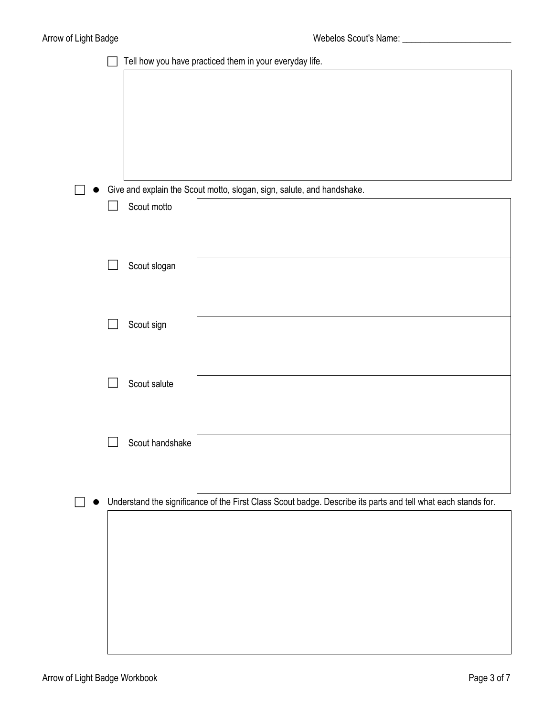|  | Tell how you have practiced them in your everyday life. |                                                                                                               |  |  |  |
|--|---------------------------------------------------------|---------------------------------------------------------------------------------------------------------------|--|--|--|
|  |                                                         |                                                                                                               |  |  |  |
|  |                                                         |                                                                                                               |  |  |  |
|  |                                                         |                                                                                                               |  |  |  |
|  |                                                         |                                                                                                               |  |  |  |
|  |                                                         |                                                                                                               |  |  |  |
|  |                                                         | Give and explain the Scout motto, slogan, sign, salute, and handshake.                                        |  |  |  |
|  | Scout motto                                             |                                                                                                               |  |  |  |
|  |                                                         |                                                                                                               |  |  |  |
|  |                                                         |                                                                                                               |  |  |  |
|  | Scout slogan                                            |                                                                                                               |  |  |  |
|  |                                                         |                                                                                                               |  |  |  |
|  | Scout sign                                              |                                                                                                               |  |  |  |
|  |                                                         |                                                                                                               |  |  |  |
|  |                                                         |                                                                                                               |  |  |  |
|  | Scout salute                                            |                                                                                                               |  |  |  |
|  |                                                         |                                                                                                               |  |  |  |
|  |                                                         |                                                                                                               |  |  |  |
|  | Scout handshake                                         |                                                                                                               |  |  |  |
|  |                                                         |                                                                                                               |  |  |  |
|  |                                                         | Understand the significance of the First Class Scout badge. Describe its parts and tell what each stands for. |  |  |  |
|  |                                                         |                                                                                                               |  |  |  |
|  |                                                         |                                                                                                               |  |  |  |
|  |                                                         |                                                                                                               |  |  |  |
|  |                                                         |                                                                                                               |  |  |  |
|  |                                                         |                                                                                                               |  |  |  |
|  |                                                         |                                                                                                               |  |  |  |
|  |                                                         |                                                                                                               |  |  |  |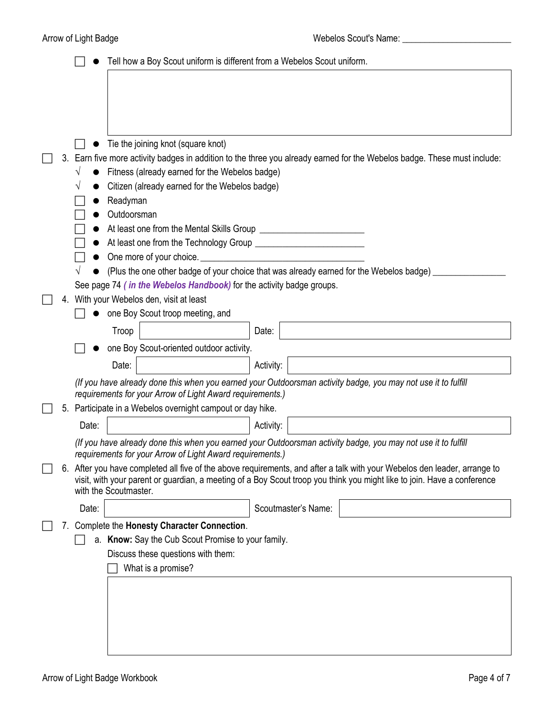|    |                                                                                                                                                                                                                                                      |                       | Tell how a Boy Scout uniform is different from a Webelos Scout uniform.                                                                                                    |  |           |                     |  |                                                                                                                          |
|----|------------------------------------------------------------------------------------------------------------------------------------------------------------------------------------------------------------------------------------------------------|-----------------------|----------------------------------------------------------------------------------------------------------------------------------------------------------------------------|--|-----------|---------------------|--|--------------------------------------------------------------------------------------------------------------------------|
|    |                                                                                                                                                                                                                                                      |                       |                                                                                                                                                                            |  |           |                     |  |                                                                                                                          |
|    |                                                                                                                                                                                                                                                      |                       |                                                                                                                                                                            |  |           |                     |  |                                                                                                                          |
|    |                                                                                                                                                                                                                                                      |                       |                                                                                                                                                                            |  |           |                     |  |                                                                                                                          |
|    |                                                                                                                                                                                                                                                      |                       |                                                                                                                                                                            |  |           |                     |  |                                                                                                                          |
|    |                                                                                                                                                                                                                                                      |                       | Tie the joining knot (square knot)                                                                                                                                         |  |           |                     |  |                                                                                                                          |
|    |                                                                                                                                                                                                                                                      |                       |                                                                                                                                                                            |  |           |                     |  | 3. Earn five more activity badges in addition to the three you already earned for the Webelos badge. These must include: |
|    |                                                                                                                                                                                                                                                      |                       | Fitness (already earned for the Webelos badge)<br>Citizen (already earned for the Webelos badge)                                                                           |  |           |                     |  |                                                                                                                          |
|    |                                                                                                                                                                                                                                                      | Readyman              |                                                                                                                                                                            |  |           |                     |  |                                                                                                                          |
|    | Outdoorsman                                                                                                                                                                                                                                          |                       |                                                                                                                                                                            |  |           |                     |  |                                                                                                                          |
|    |                                                                                                                                                                                                                                                      |                       |                                                                                                                                                                            |  |           |                     |  |                                                                                                                          |
|    |                                                                                                                                                                                                                                                      |                       |                                                                                                                                                                            |  |           |                     |  |                                                                                                                          |
|    |                                                                                                                                                                                                                                                      |                       | One more of your choice.                                                                                                                                                   |  |           |                     |  |                                                                                                                          |
|    |                                                                                                                                                                                                                                                      |                       | (Plus the one other badge of your choice that was already earned for the Webelos badge)                                                                                    |  |           |                     |  |                                                                                                                          |
| 4. |                                                                                                                                                                                                                                                      |                       | See page 74 (in the Webelos Handbook) for the activity badge groups.<br>With your Webelos den, visit at least                                                              |  |           |                     |  |                                                                                                                          |
|    |                                                                                                                                                                                                                                                      |                       | one Boy Scout troop meeting, and                                                                                                                                           |  |           |                     |  |                                                                                                                          |
|    |                                                                                                                                                                                                                                                      | Troop                 |                                                                                                                                                                            |  | Date:     |                     |  |                                                                                                                          |
|    |                                                                                                                                                                                                                                                      |                       | one Boy Scout-oriented outdoor activity.                                                                                                                                   |  |           |                     |  |                                                                                                                          |
|    |                                                                                                                                                                                                                                                      | Date:                 |                                                                                                                                                                            |  | Activity: |                     |  |                                                                                                                          |
|    |                                                                                                                                                                                                                                                      |                       |                                                                                                                                                                            |  |           |                     |  |                                                                                                                          |
|    |                                                                                                                                                                                                                                                      |                       | (If you have already done this when you earned your Outdoorsman activity badge, you may not use it to fulfill<br>requirements for your Arrow of Light Award requirements.) |  |           |                     |  |                                                                                                                          |
| 5. |                                                                                                                                                                                                                                                      |                       | Participate in a Webelos overnight campout or day hike.                                                                                                                    |  |           |                     |  |                                                                                                                          |
|    | Date:                                                                                                                                                                                                                                                |                       |                                                                                                                                                                            |  | Activity: |                     |  |                                                                                                                          |
|    |                                                                                                                                                                                                                                                      |                       | (If you have already done this when you earned your Outdoorsman activity badge, you may not use it to fulfill                                                              |  |           |                     |  |                                                                                                                          |
|    |                                                                                                                                                                                                                                                      |                       | requirements for your Arrow of Light Award requirements.)                                                                                                                  |  |           |                     |  |                                                                                                                          |
|    | 6. After you have completed all five of the above requirements, and after a talk with your Webelos den leader, arrange to<br>visit, with your parent or guardian, a meeting of a Boy Scout troop you think you might like to join. Have a conference |                       |                                                                                                                                                                            |  |           |                     |  |                                                                                                                          |
|    |                                                                                                                                                                                                                                                      | with the Scoutmaster. |                                                                                                                                                                            |  |           |                     |  |                                                                                                                          |
|    | Date:                                                                                                                                                                                                                                                |                       |                                                                                                                                                                            |  |           | Scoutmaster's Name: |  |                                                                                                                          |
|    |                                                                                                                                                                                                                                                      |                       | 7. Complete the Honesty Character Connection.                                                                                                                              |  |           |                     |  |                                                                                                                          |
|    |                                                                                                                                                                                                                                                      |                       | a. Know: Say the Cub Scout Promise to your family.                                                                                                                         |  |           |                     |  |                                                                                                                          |
|    |                                                                                                                                                                                                                                                      |                       | Discuss these questions with them:                                                                                                                                         |  |           |                     |  |                                                                                                                          |
|    |                                                                                                                                                                                                                                                      |                       | What is a promise?                                                                                                                                                         |  |           |                     |  |                                                                                                                          |
|    |                                                                                                                                                                                                                                                      |                       |                                                                                                                                                                            |  |           |                     |  |                                                                                                                          |
|    |                                                                                                                                                                                                                                                      |                       |                                                                                                                                                                            |  |           |                     |  |                                                                                                                          |
|    |                                                                                                                                                                                                                                                      |                       |                                                                                                                                                                            |  |           |                     |  |                                                                                                                          |
|    |                                                                                                                                                                                                                                                      |                       |                                                                                                                                                                            |  |           |                     |  |                                                                                                                          |
|    |                                                                                                                                                                                                                                                      |                       |                                                                                                                                                                            |  |           |                     |  |                                                                                                                          |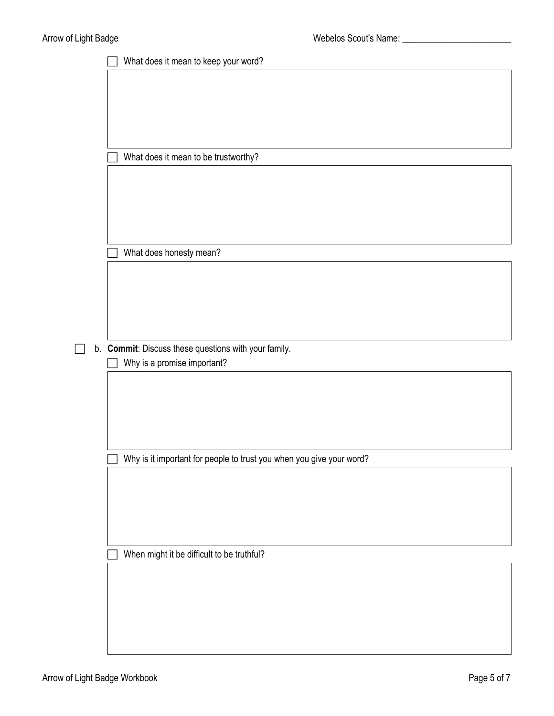| What does it mean to keep your word?                                 |  |  |  |  |  |  |
|----------------------------------------------------------------------|--|--|--|--|--|--|
|                                                                      |  |  |  |  |  |  |
|                                                                      |  |  |  |  |  |  |
|                                                                      |  |  |  |  |  |  |
|                                                                      |  |  |  |  |  |  |
| What does it mean to be trustworthy?                                 |  |  |  |  |  |  |
|                                                                      |  |  |  |  |  |  |
|                                                                      |  |  |  |  |  |  |
|                                                                      |  |  |  |  |  |  |
|                                                                      |  |  |  |  |  |  |
|                                                                      |  |  |  |  |  |  |
| What does honesty mean?                                              |  |  |  |  |  |  |
|                                                                      |  |  |  |  |  |  |
|                                                                      |  |  |  |  |  |  |
|                                                                      |  |  |  |  |  |  |
|                                                                      |  |  |  |  |  |  |
| b. Commit: Discuss these questions with your family.                 |  |  |  |  |  |  |
| Why is a promise important?                                          |  |  |  |  |  |  |
|                                                                      |  |  |  |  |  |  |
|                                                                      |  |  |  |  |  |  |
|                                                                      |  |  |  |  |  |  |
|                                                                      |  |  |  |  |  |  |
| Why is it important for people to trust you when you give your word? |  |  |  |  |  |  |
|                                                                      |  |  |  |  |  |  |
|                                                                      |  |  |  |  |  |  |
|                                                                      |  |  |  |  |  |  |
|                                                                      |  |  |  |  |  |  |
|                                                                      |  |  |  |  |  |  |
| When might it be difficult to be truthful?                           |  |  |  |  |  |  |
|                                                                      |  |  |  |  |  |  |
|                                                                      |  |  |  |  |  |  |
|                                                                      |  |  |  |  |  |  |
|                                                                      |  |  |  |  |  |  |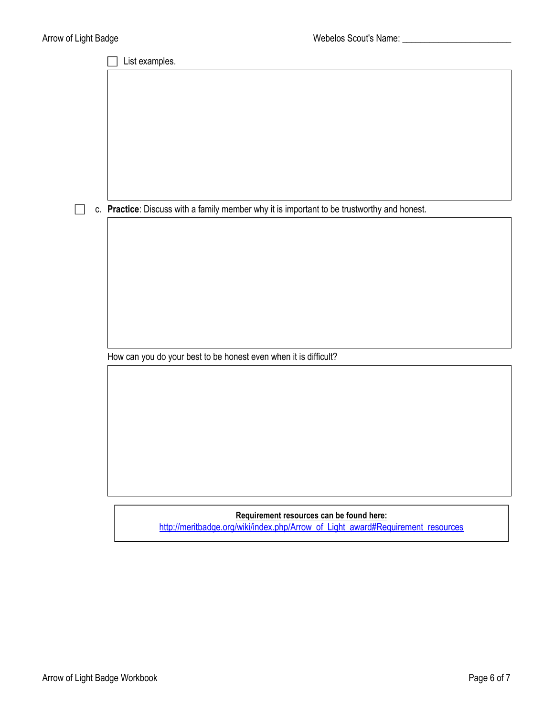List examples. c. **Practice**: Discuss with a family member why it is important to be trustworthy and honest. How can you do your best to be honest even when it is difficult?

**Requirement resources can be found here:** [http://meritbadge.org/wiki/index.php/Arrow\\_of\\_Light\\_award#Requirement\\_resources](http://meritbadge.org/wiki/index.php/Arrow_of_Light_award%23Requirement_resources)